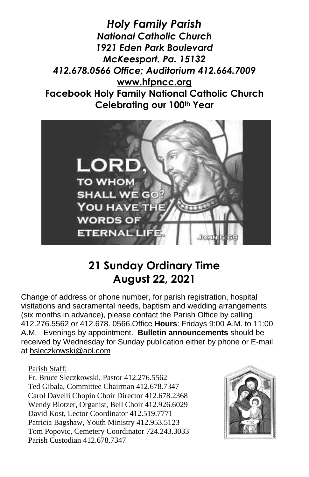*Holy Family Parish National Catholic Church 1921 Eden Park Boulevard McKeesport. Pa. 15132 412.678.0566 Office; Auditorium 412.664.7009* **[www.hfpncc.org](http://www.hfpncc.org/) Facebook Holy Family National Catholic Church Celebrating our 100th Year**



# **21 Sunday Ordinary Time August 22, 2021**

Change of address or phone number, for parish registration, hospital visitations and sacramental needs, baptism and wedding arrangements (six months in advance), please contact the Parish Office by calling 412.276.5562 or 412.678. 0566.Office **Hours**: Fridays 9:00 A.M. to 11:00 A.M. Evenings by appointment. **Bulletin announcements** should be received by Wednesday for Sunday publication either by phone or E-mail at [bsleczkowski@aol.com](mailto:bsleczkowski@aol.com)

Parish Staff:

Fr. Bruce Sleczkowski, Pastor 412.276.5562 Ted Gibala, Committee Chairman 412.678.7347 Carol Davelli Chopin Choir Director 412.678.2368 Wendy Blotzer, Organist, Bell Choir 412.926.6029 David Kost, Lector Coordinator 412.519.7771 Patricia Bagshaw, Youth Ministry 412.953.5123 Tom Popovic, Cemetery Coordinator 724.243.3033 Parish Custodian 412.678.7347

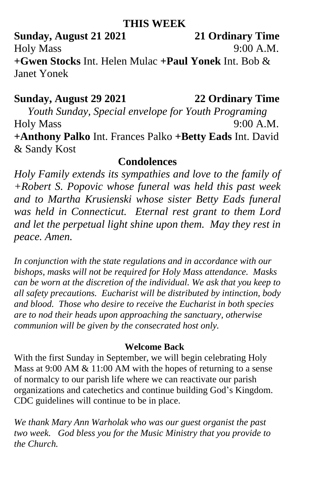### **THIS WEEK**

**Sunday, August 21 2021 21 Ordinary Time** Holy Mass 9:00 A.M. **+Gwen Stocks** Int. Helen Mulac **+Paul Yonek** Int. Bob & Janet Yonek

## **Sunday, August 29 2021 22 Ordinary Time**

*Youth Sunday, Special envelope for Youth Programing* Holy Mass 9:00 A.M. **+Anthony Palko** Int. Frances Palko **+Betty Eads** Int. David & Sandy Kost

# **Condolences**

*Holy Family extends its sympathies and love to the family of +Robert S. Popovic whose funeral was held this past week and to Martha Krusienski whose sister Betty Eads funeral was held in Connecticut. Eternal rest grant to them Lord and let the perpetual light shine upon them. May they rest in peace. Amen.*

*In conjunction with the state regulations and in accordance with our bishops, masks will not be required for Holy Mass attendance. Masks can be worn at the discretion of the individual. We ask that you keep to all safety precautions. Eucharist will be distributed by intinction, body and blood. Those who desire to receive the Eucharist in both species are to nod their heads upon approaching the sanctuary, otherwise communion will be given by the consecrated host only.*

### **Welcome Back**

With the first Sunday in September, we will begin celebrating Holy Mass at 9:00 AM & 11:00 AM with the hopes of returning to a sense of normalcy to our parish life where we can reactivate our parish organizations and catechetics and continue building God's Kingdom. CDC guidelines will continue to be in place.

*We thank Mary Ann Warholak who was our guest organist the past two week. God bless you for the Music Ministry that you provide to the Church.*